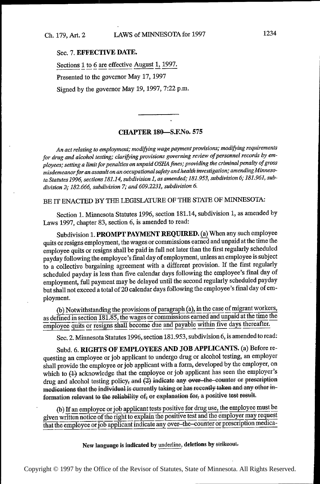## Sec. 7. EFFECTIVE DATE.

Sections 1 to 6 are effective August 1, 1997.

Presented to the governor May 17, 1997

Signed by the governor May 19, 1997, 7:22 p.m.

## CHAPTER 180—S.ENo. <sup>575</sup>

An act relating to employment; modifying wage payment provisions; modifying requirements for drug and alcohol testing; clarifying provisions governing review of personnel records by employees; setting a limit for penalties on unpaid OSHA fines; providing the criminal penalty of gross misdemeanor for an assault on an occupational safety and health investigation,' amendingMinnesota Statutes 1996, sections 181.14, subdivision 1, as amended; 181.953, subdivision 6; 181.961, subdivision 2; 182.666, subdivision 7; and 609.2231, subdivision 6.

BE IT ENACTED BY THE LEGISLATURE OF THE STATE OF MINNESOTA:

Section 1. Minnesota Statutes 1996, section 181.14, subdivision 1, as amended by Laws 1997, chapter 83, section 6, is amended to read:

Subdivision 1. PROMPT PAYMENT REQUIRED. (a) When any such employee quits or resigns employment, the wages or commissions earned and unpaid at the time the employee quits or resigns shall be paid in full not later than the first regularly scheduled payday following the employee's final day of employment, unless an employee is subject to a collective bargaining agreement with a different provision. If the first regularly scheduled payday is less than five calendar days following the employee's final day of employment, full payment may be delayed until the second regularly scheduled payday but shall not exceed a total of 20 calendar days following the employee's final day of employment.

(b) Notwithstanding the provisions of paragraph (a), in the case of migrant workers, as defined in section  $181.85$ , the wages or commissions earned and unpaid at the time the employee quits or resigns shall become due and payable within five days thereafter.

Sec. 2. Minnesota Statutes 1996, section 181.953, subdivision 6, is amended to read:

Subd. 6. RIGHTS OF EMPLOYEES AND JOB APPLICANTS. (a) Before requesting an employee or job applicant to undergo drug or alcohol testing, an employer shall provide the employee or job applicant with a form, developed by the employer, on which to (4) acknowledge that the employee or job applicant has seen the employer's drug and alcohol testing policy, and  $(2)$  indicate any over-the-counter or prescription medications that the individual is currently taking or has recently taken and any other information relevant to the reliability of, or explanation for, a positive test result.

(b) If an employee or job applicant tests positive for drug use, the employee must be given written notice of the right to explain the positive test and the employer may request that the employee or job applicant indicate any over-the-counter or prescription medica-

New language is indicated by underline, deletions by strikeout.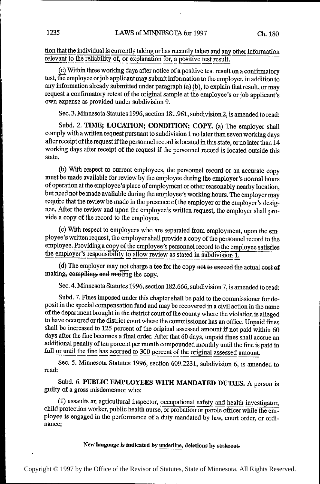tion that the individual is currently taking or has recently taken and any other information relevant to the reliability of, or explanation for, a positive test result.

(0) Within three working days after notice of a positive test result on a confirmatory test, the employee or job applicant may submit information to the employer, in addition to any information already submitted under paragraph (a) (b), to explain that result, or may request a confirmatory retest of the original sample at the employee's or job applicant's own expense as provided under subdivision 9.

Sec. 3. Minnesota Statutes 1996, section 181.961, subdivision 2, is amended to read:

Subd. 2. TIME; LOCATION; CONDITION; COPY. (a) The employer shall comply with a written request pursuant to subdivision 1 no later than seven working days after receipt of the request if the personnel record is located in this state, or no later than 14 working days after receipt of the request if the personnel record is located outside this state.

(b) With respect to current employees, the personnel record or an accurate copy must be made available for review by the employee during the employer's normal hours of operation at the employee's place of employment or other reasonably nearby location, but need not be made available during the employee's working hours. The employer may require that the review be made in the presence of the employer or the employer's designee. After the review and upon the employee's written request, the employer shall provide a copy of the record to the employee.

(c) With respect to employees who are separated from employment, upon the employee's written request, the employer shall provide a copy of the personnel record to the employee. Providing a copy of the employee's personnel record to the employee satisfies the employer's responsibility to allow review as stated in subdivision 1.

(d) The employer may not charge a fee for the copy not to exceed the actual cost of making, compiling, and mailing the copy.

Sec. 4. Minnesota Statutes 1996, section 182.666, subdivision 7, is amended to read:

Subd. 7. Fines imposed under this chapter shall be paid to the commissioner for deposit in the special compensation fund and may be recovered in a civil action in the name of the department brought in the district court of the county where the violation is alleged to have occurred or the district court where the commissioner has an office. Unpaid fines shall be increased to 125 percent of the original assessed amount if not paid within 60 days after the fine becomes a final order. After that 60 days, unpaid fines shall accrue an additional penalty of ten percent per month compounded monthly until the fine is paid in full or until the fine has accrued to 300 percent of the original assessed amount.

Sec. 5. Minnesota Statutes 1996, section 609.2231, subdivision 6, is amended to read:

Subd. 6. PUBLIC EMPLOYEES WITH MANDATED DUTIES. A person is guilty of a gross misdemeanor who:

(1) assaults an agricultural inspector, occupational safety and health investigator, child protection worker, public health nurse, or probation or parole officer while the employee is engaged in the performance of a duty mandated by law, court order, or ordinance;

New language is indicated by underline, deletions by strikeout.